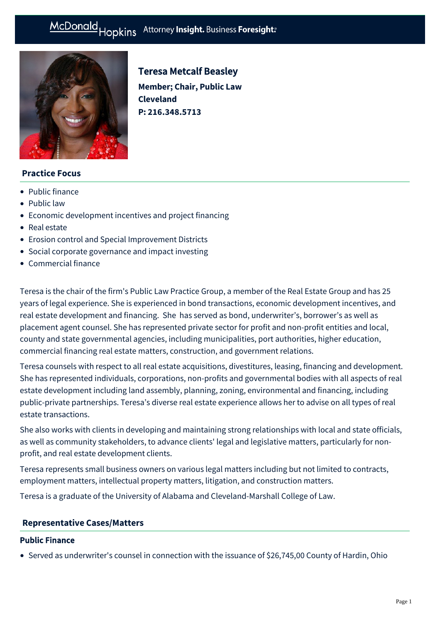# McDonald Hopkins Attorney Insight. Business Foresight:



# Teresa Metcalf Beasley

**Member; Chair, Public Law Cleveland P: [216.348.5713](tel:216.348.5713)**

# **Practice Focus**

- [Public finance](https://mcdonaldhopkins.com/Expertise/Finance/Public-finance)
- [Public law](https://mcdonaldhopkins.com/Expertise/Public-law)
- [Economic development incentives and project financing](https://mcdonaldhopkins.com/Expertise/Real-estate/Economic-development-incentives-and-project-financ)
- [Real estate](https://mcdonaldhopkins.com/Expertise/Real-estate)
- [Erosion control and Special Improvement Districts](https://mcdonaldhopkins.com/Expertise/Public-law/Erosion-Control-and-Special-Improvement-Districts)
- [Social corporate governance and impact investing](https://mcdonaldhopkins.com/Expertise/Business-counseling/Social-Corporate-Governance-and-Impact-Investing)
- [Commercial finance](https://mcdonaldhopkins.com/Expertise/Finance/Commercial-finance)

Teresa is the chair of the firm's Public Law Practice Group, a member of the Real Estate Group and has 25 years of legal experience. She is experienced in bond transactions, economic development incentives, and real estate development and financing. She has served as bond, underwriter's, borrower's as well as placement agent counsel. She has represented private sector for profit and non-profit entities and local, county and state governmental agencies, including municipalities, port authorities, higher education, commercial financing real estate matters, construction, and government relations.

Teresa counsels with respect to all real estate acquisitions, divestitures, leasing, financing and development. She has represented individuals, corporations, non-profits and governmental bodies with all aspects of real estate development including land assembly, planning, zoning, environmental and financing, including public-private partnerships. Teresa's diverse real estate experience allows her to advise on all types of real estate transactions.

She also works with clients in developing and maintaining strong relationships with local and state officials, as well as community stakeholders, to advance clients' legal and legislative matters, particularly for nonprofit, and real estate development clients.

Teresa represents small business owners on various legal matters including but not limited to contracts, employment matters, intellectual property matters, litigation, and construction matters.

Teresa is a graduate of the University of Alabama and Cleveland-Marshall College of Law.

### **[Representative Cases/Matters](#page-0-0)**

#### <span id="page-0-0"></span>Public Finance

Served as underwriter's counsel in connection with the issuance of \$26,745,00 County of Hardin, Ohio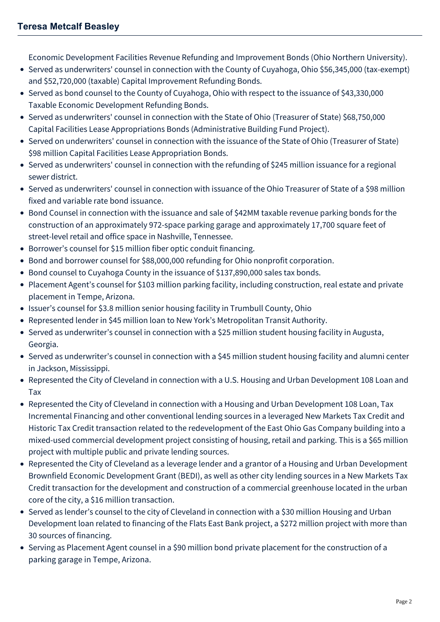Economic Development Facilities Revenue Refunding and Improvement Bonds (Ohio Northern University).

- Served as underwriters' counsel in connection with the County of Cuyahoga, Ohio \$56,345,000 (tax-exempt) and \$52,720,000 (taxable) Capital Improvement Refunding Bonds.
- Served as bond counsel to the County of Cuyahoga, Ohio with respect to the issuance of \$43,330,000 Taxable Economic Development Refunding Bonds.
- Served as underwriters' counsel in connection with the State of Ohio (Treasurer of State) \$68,750,000 Capital Facilities Lease Appropriations Bonds (Administrative Building Fund Project).
- Served on underwriters' counsel in connection with the issuance of the State of Ohio (Treasurer of State) \$98 million Capital Facilities Lease Appropriation Bonds.
- Served as underwriters' counsel in connection with the refunding of \$245 million issuance for a regional sewer district.
- Served as underwriters' counsel in connection with issuance of the Ohio Treasurer of State of a \$98 million fixed and variable rate bond issuance.
- Bond Counsel in connection with the issuance and sale of \$42MM taxable revenue parking bonds for the construction of an approximately 972-space parking garage and approximately 17,700 square feet of street-level retail and office space in Nashville, Tennessee.
- Borrower's counsel for \$15 million fiber optic conduit financing.
- Bond and borrower counsel for \$88,000,000 refunding for Ohio nonprofit corporation.
- Bond counsel to Cuyahoga County in the issuance of \$137,890,000 sales tax bonds.
- Placement Agent's counsel for \$103 million parking facility, including construction, real estate and private placement in Tempe, Arizona.
- Issuer's counsel for \$3.8 million senior housing facility in Trumbull County, Ohio
- Represented lender in \$45 million loan to New York's Metropolitan Transit Authority.
- Served as underwriter's counsel in connection with a \$25 million student housing facility in Augusta, Georgia.
- Served as underwriter's counsel in connection with a \$45 million student housing facility and alumni center in Jackson, Mississippi.
- Represented the City of Cleveland in connection with a U.S. Housing and Urban Development 108 Loan and Tax
- Represented the City of Cleveland in connection with a Housing and Urban Development 108 Loan, Tax Incremental Financing and other conventional lending sources in a leveraged New Markets Tax Credit and Historic Tax Credit transaction related to the redevelopment of the East Ohio Gas Company building into a mixed-used commercial development project consisting of housing, retail and parking. This is a \$65 million project with multiple public and private lending sources.
- Represented the City of Cleveland as a leverage lender and a grantor of a Housing and Urban Development Brownfield Economic Development Grant (BEDI), as well as other city lending sources in a New Markets Tax Credit transaction for the development and construction of a commercial greenhouse located in the urban core of the city, a \$16 million transaction.
- Served as lender's counsel to the city of Cleveland in connection with a \$30 million Housing and Urban Development loan related to financing of the Flats East Bank project, a \$272 million project with more than 30 sources of financing.
- Serving as Placement Agent counsel in a \$90 million bond private placement for the construction of a parking garage in Tempe, Arizona.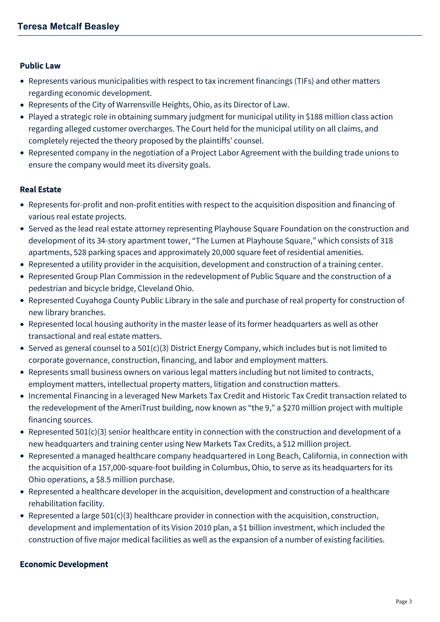#### Public Law

- Represents various municipalities with respect to tax increment financings (TIFs) and other matters regarding economic development.
- Represents of the City of Warrensville Heights, Ohio, as its Director of Law.
- Played a strategic role in obtaining summary judgment for municipal utility in \$188 million class action regarding alleged customer overcharges. The Court held for the municipal utility on all claims, and completely rejected the theory proposed by the plaintiffs' counsel.
- Represented company in the negotiation of a Project Labor Agreement with the building trade unions to ensure the company would meet its diversity goals.

#### Real Estate

- Represents for-profit and non-profit entities with respect to the acquisition disposition and financing of various real estate projects.
- Served as the lead real estate attorney representing Playhouse Square Foundation on the construction and development of its 34-story apartment tower, "The Lumen at Playhouse Square," which consists of 318 apartments, 528 parking spaces and approximately 20,000 square feet of residential amenities.
- Represented a utility provider in the acquisition, development and construction of a training center.
- Represented Group Plan Commission in the redevelopment of Public Square and the construction of a pedestrian and bicycle bridge, Cleveland Ohio.
- Represented Cuyahoga County Public Library in the sale and purchase of real property for construction of new library branches.
- Represented local housing authority in the master lease of its former headquarters as well as other transactional and real estate matters.
- Served as general counsel to a 501(c)(3) District Energy Company, which includes but is not limited to corporate governance, construction, financing, and labor and employment matters.
- Represents small business owners on various legal matters including but not limited to contracts, employment matters, intellectual property matters, litigation and construction matters.
- Incremental Financing in a leveraged New Markets Tax Credit and Historic Tax Credit transaction related to the redevelopment of the AmeriTrust building, now known as "the 9," a \$270 million project with multiple financing sources.
- Represented  $501(c)(3)$  senior healthcare entity in connection with the construction and development of a new headquarters and training center using New Markets Tax Credits, a \$12 million project.
- Represented a managed healthcare company headquartered in Long Beach, California, in connection with the acquisition of a 157,000-square-foot building in Columbus, Ohio, to serve as its headquarters for its Ohio operations, a \$8.5 million purchase.
- Represented a healthcare developer in the acquisition, development and construction of a healthcare rehabilitation facility.
- Represented a large  $501(c)(3)$  healthcare provider in connection with the acquisition, construction, development and implementation of its Vision 2010 plan, a \$1 billion investment, which included the construction of five major medical facilities as well as the expansion of a number of existing facilities.

#### Economic Development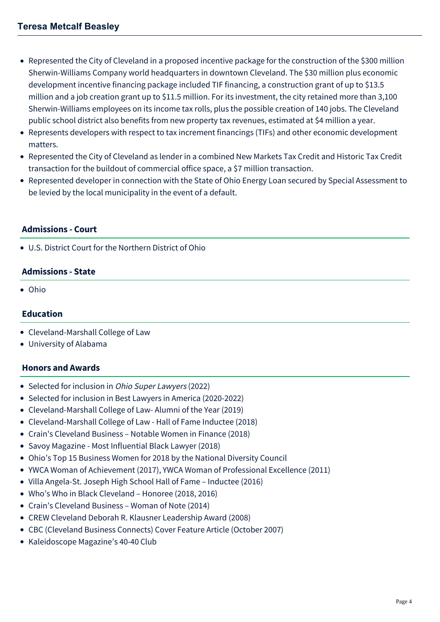- Represented the City of Cleveland in a proposed incentive package for the construction of the \$300 million Sherwin-Williams Company world headquarters in downtown Cleveland. The \$30 million plus economic development incentive financing package included TIF financing, a construction grant of up to \$13.5 million and a job creation grant up to \$11.5 million. For its investment, the city retained more than 3,100 Sherwin-Williams employees on its income tax rolls, plus the possible creation of 140 jobs. The Cleveland public school district also benefits from new property tax revenues, estimated at \$4 million a year.
- Represents developers with respect to tax increment financings (TIFs) and other economic development matters.
- Represented the City of Cleveland as lender in a combined New Markets Tax Credit and Historic Tax Credit transaction for the buildout of commercial office space, a \$7 million transaction.
- Represented developer in connection with the State of Ohio Energy Loan secured by Special Assessment to be levied by the local municipality in the event of a default.

### **Admissions - Court**

U.S. District Court for the Northern District of Ohio

# **Admissions - State**

Ohio

# **Education**

- Cleveland-Marshall College of Law
- University of Alabama

# **Honors and Awards**

- Selected for inclusion in Ohio Super Lawyers (2022)
- Selected for inclusion in Best Lawyers in America (2020-2022)
- Cleveland-Marshall College of Law- Alumni of the Year (2019)
- Cleveland-Marshall College of Law Hall of Fame Inductee (2018)
- Crain's Cleveland Business Notable Women in Finance (2018)
- Savoy Magazine Most Influential Black Lawyer (2018)
- Ohio's Top 15 Business Women for 2018 by the National Diversity Council
- YWCA Woman of Achievement (2017), YWCA Woman of Professional Excellence (2011)
- Villa Angela-St. Joseph High School Hall of Fame Inductee (2016)
- Who's Who in Black Cleveland Honoree (2018, 2016)
- Crain's Cleveland Business Woman of Note (2014)
- CREW Cleveland Deborah R. Klausner Leadership Award (2008)
- CBC (Cleveland Business Connects) Cover Feature Article (October 2007)
- Kaleidoscope Magazine's 40-40 Club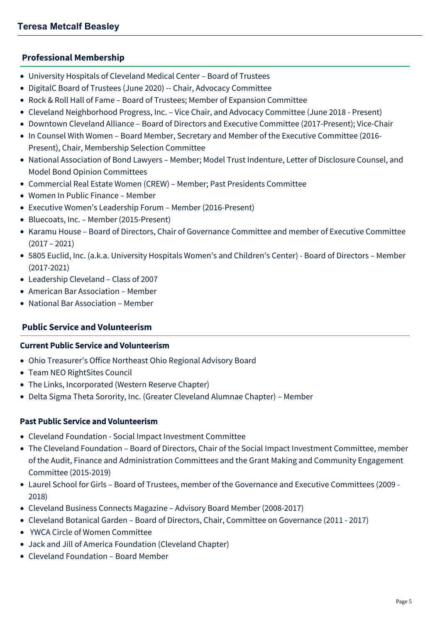# **Professional Membership**

- University Hospitals of Cleveland Medical Center Board of Trustees
- DigitalC Board of Trustees (June 2020) -- Chair, Advocacy Committee
- Rock & Roll Hall of Fame Board of Trustees; Member of Expansion Committee
- Cleveland Neighborhood Progress, Inc. Vice Chair, and Advocacy Committee (June 2018 Present)
- Downtown Cleveland Alliance Board of Directors and Executive Committee (2017-Present); Vice-Chair
- In Counsel With Women Board Member, Secretary and Member of the Executive Committee (2016- Present), Chair, Membership Selection Committee
- National Association of Bond Lawyers Member; Model Trust Indenture, Letter of Disclosure Counsel, and Model Bond Opinion Committees
- Commercial Real Estate Women (CREW) Member; Past Presidents Committee
- Women In Public Finance Member
- Executive Women's Leadership Forum Member (2016-Present)
- Bluecoats, Inc. Member (2015-Present)
- Karamu House Board of Directors, Chair of Governance Committee and member of Executive Committee (2017 – 2021)
- 5805 Euclid, Inc. (a.k.a. University Hospitals Women's and Children's Center) Board of Directors Member (2017-2021)
- Leadership Cleveland Class of 2007
- American Bar Association Member
- National Bar Association Member

# **Public Service and Volunteerism**

# Current Public Service and Volunteerism

- Ohio Treasurer's Office Northeast Ohio Regional Advisory Board
- Team NEO RightSites Council
- The Links, Incorporated (Western Reserve Chapter)
- Delta Sigma Theta Sorority, Inc. (Greater Cleveland Alumnae Chapter) Member

# Past Public Service and Volunteerism

- Cleveland Foundation Social Impact Investment Committee
- The Cleveland Foundation Board of Directors, Chair of the Social Impact Investment Committee, member of the Audit, Finance and Administration Committees and the Grant Making and Community Engagement Committee (2015-2019)
- Laurel School for Girls Board of Trustees, member of the Governance and Executive Committees (2009 2018)
- Cleveland Business Connects Magazine Advisory Board Member (2008-2017)
- Cleveland Botanical Garden Board of Directors, Chair, Committee on Governance (2011 2017)
- YWCA Circle of Women Committee
- Jack and Jill of America Foundation (Cleveland Chapter)
- Cleveland Foundation Board Member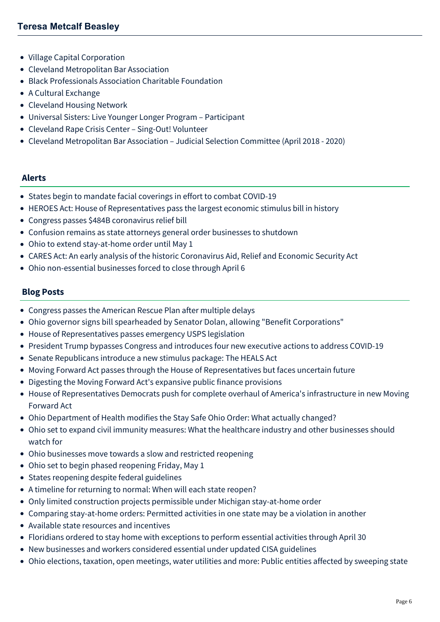- Village Capital Corporation
- Cleveland Metropolitan Bar Association
- Black Professionals Association Charitable Foundation
- A Cultural Exchange
- Cleveland Housing Network
- Universal Sisters: Live Younger Longer Program Participant
- Cleveland Rape Crisis Center Sing-Out! Volunteer
- Cleveland Metropolitan Bar Association Judicial Selection Committee (April 2018 2020)

# **Alerts**

- [States begin to mandate facial coverings in effort to combat COVID-19](https://mcdonaldhopkins.com/Insights/July-2020/States-begin-to-mandate-facial-coverings-in-effort)
- [HEROES Act: House of Representatives pass the largest economic stimulus bill in history](https://mcdonaldhopkins.com/Insights/May-2020/HEROES-Act-House-of-Representatives-pass-the-large)
- [Congress passes \\$484B coronavirus relief bill](https://mcdonaldhopkins.com/Insights/April-2020/Congress-passes-484B-coronavirus-relief-bill)
- [Confusion remains as state attorneys general order businesses to shutdown](https://mcdonaldhopkins.com/Insights/April-2020/Confusion-remains-as-state-attorneys-general-order)
- [Ohio to extend stay-at-home order until May 1](https://mcdonaldhopkins.com/Insights/April-2020/Ohio-to-extend-stay-at-home-order-until-May-1)
- [CARES Act: An early analysis of the historic Coronavirus Aid, Relief and Economic Security Act](https://mcdonaldhopkins.com/Insights/March-2020/CARES-ACT-overview)
- [Ohio non-essential businesses forced to close through April 6](https://mcdonaldhopkins.com/Insights/March-2020/Ohio-non-essential-businesses-forced-to-close-thro)

# **Blog Posts**

- [Congress passes the American Rescue Plan after multiple delays](https://mcdonaldhopkins.com/Insights/March-2021/Congress-passes-the-American-Rescue-Plan-after-mul)
- [Ohio governor signs bill spearheaded by Senator Dolan, allowing "Benefit Corporations"](https://mcdonaldhopkins.com/Insights/December-2020/Ohio-governor-signs-bill-into-law-allowing-benefit)
- [House of Representatives passes emergency USPS legislation](https://mcdonaldhopkins.com/Insights/August-2020/House-of-Representatives-passes-emergency-USPS-leg)
- [President Trump bypasses Congress and introduces four new executive actions to address COVID-19](https://mcdonaldhopkins.com/Insights/August-2020/President-Trump-bypasses-Congress-and-introduces-f)
- [Senate Republicans introduce a new stimulus package: The HEALS Act](https://mcdonaldhopkins.com/Insights/August-2020/Senate-Republicans-introduce-a-new-stimulus-packag)
- [Moving Forward Act passes through the House of Representatives but faces uncertain future](https://mcdonaldhopkins.com/Insights/July-2020/Moving-Forward-Act-passes-through-the-House-of-Rep)
- [Digesting the Moving Forward Act's expansive public finance provisions](https://mcdonaldhopkins.com/Insights/June-2020-(1)/Digesting-the-Moving-Forward-Acts-expansive-public)
- [House of Representatives Democrats push for complete overhaul of America's infrastructure in new Moving](https://mcdonaldhopkins.com/Insights/June-2020-(1)/House-of-Representatives-Democrats-push-for-comple) Forward Act
- [Ohio Department of Health modifies the Stay Safe Ohio Order: What actually changed?](https://mcdonaldhopkins.com/Insights/May-2020/Ohio-Department-of-Health-modifies-the-Stay-Safe-O)
- [Ohio set to expand civil immunity measures: What the healthcare industry and other businesses should](https://mcdonaldhopkins.com/Insights/May-2020/Ohio-set-to-expand-civil-immunity-measures) watch for
- [Ohio businesses move towards a slow and restricted reopening](https://mcdonaldhopkins.com/Insights/May-2020/Ohio-businesses-move-towards-a-slow-and-restricted)
- [Ohio set to begin phased reopening Friday, May 1](https://mcdonaldhopkins.com/Insights/April-2020/Ohio-set-to-begin-phased-reopening-Friday-May-1)
- [States reopening despite federal guidelines](https://mcdonaldhopkins.com/Insights/April-2020/States-reopening-despite-federal-guidelines)
- [A timeline for returning to normal: When will each state reopen?](https://mcdonaldhopkins.com/Insights/April-2020/A-timeline-of-returning-to-normal)
- [Only limited construction projects permissible under Michigan stay-at-home order](https://mcdonaldhopkins.com/Insights/April-2020/Only-limited-construction-projects-permissible-und)
- [Comparing stay-at-home orders: Permitted activities in one state may be a violation in another](https://mcdonaldhopkins.com/Insights/April-2020/Permitted-activities-in-one-state-may-be-a-violati)
- [Available state resources and incentives](https://mcdonaldhopkins.com/Insights/April-2020/Available-state-resources-and-incentives)
- [Floridians ordered to stay home with exceptions to perform essential activities through April 30](https://mcdonaldhopkins.com/Insights/April-2020/Floridians-ordered-to-stay-home-with-exceptions-to)
- [New businesses and workers considered essential under updated CISA guidelines](https://mcdonaldhopkins.com/Insights/March-2020/New-businesses-and-workers-considered-essential-un)
- [Ohio elections, taxation, open meetings, water utilities and more: Public entities affected by sweeping state](https://mcdonaldhopkins.com/Insights/March-2020/Ohio-elections-taxation-open-meetings-water-utilit)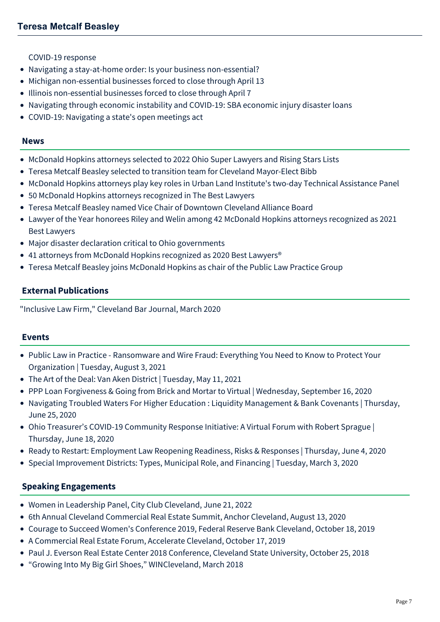[COVID-19 response](https://mcdonaldhopkins.com/Insights/March-2020/Ohio-elections-taxation-open-meetings-water-utilit)

- [Navigating a stay-at-home order: Is your business non-essential?](https://mcdonaldhopkins.com/Insights/March-2020/Navigating-a-stayathome-order-Is-your-business-non)
- [Michigan non-essential businesses forced to close through April 13](https://mcdonaldhopkins.com/Insights/March-2020/Michigan-non-essential-businesses-forced-to-close)
- [Illinois non-essential businesses forced to close through April 7](https://mcdonaldhopkins.com/Insights/March-2020/Illinois-nonessential-businesses-forced-to-close-t)
- [Navigating through economic instability and COVID-19: SBA economic injury disaster loans](https://mcdonaldhopkins.com/Insights/March-2020/Navigating-through-economic-instability-and-COVID1)
- [COVID-19: Navigating a state's open meetings act](https://mcdonaldhopkins.com/Insights/March-2020/COVID-19-Navigating-a-states-open-meetings-act)

#### **News**

- [McDonald Hopkins attorneys selected to 2022 Ohio Super Lawyers and Rising Stars Lists](https://mcdonaldhopkins.com/Insights/December-2021/McDonald-Hopkins-Ohio-Super-Lawyers)
- [Teresa Metcalf Beasley selected to transition team for Cleveland Mayor-Elect Bibb](https://mcdonaldhopkins.com/Insights/December-2021/Teresa-Metcalf-Beasley-selected-to-transition-team)
- [McDonald Hopkins attorneys play key roles in Urban Land Institute's two-day Technical Assistance Panel](https://mcdonaldhopkins.com/Insights/November-2021/McDonald-Hopkins-attorneys-play-key-roles-in-Urban)
- [50 McDonald Hopkins attorneys recognized in The Best Lawyers](https://mcdonaldhopkins.com/Insights/August-2021/50-McDonald-Hopkins-attorneys-recognized-in-The-Be)
- [Teresa Metcalf Beasley named Vice Chair of Downtown Cleveland Alliance Board](https://mcdonaldhopkins.com/Insights/March-2021/Teresa-Metcalf-Beasley-named-Vice-Chair-of-Downtow)
- [Lawyer of the Year honorees Riley and Welin among 42 McDonald Hopkins attorneys recognized as 2021](https://mcdonaldhopkins.com/Insights/August-2020/Lawyer-of-the-Year-honorees-Riley-and-Welin-among) Best Lawyers
- [Major disaster declaration critical to Ohio governments](https://mcdonaldhopkins.com/Insights/March-2020/Major-disaster-declaration-critical-to-Ohio-govern)
- 41 attorneys from McDonald Hopkins recognized as 2020 Best Lawyers<sup>®</sup>
- [Teresa Metcalf Beasley joins McDonald Hopkins as chair of the Public Law Practice Group](https://mcdonaldhopkins.com/Insights/February-2019/Teresa-Metcalf-Beasley-joins-McDonald-Hopkins-as-c)

# **External Publications**

"Inclusive Law Firm," Cleveland Bar Journal, March 2020

### **Events**

- [Public Law in Practice Ransomware and Wire Fraud: Everything You Need to Know to Protect Your](https://mcdonaldhopkins.com/Events/2021/Public-Law-in-Practice-Ransomware-and-Wire-Fraud) Organization | Tuesday, August 3, 2021
- [The Art of the Deal: Van Aken District | Tuesday, May 11, 2021](https://mcdonaldhopkins.com/Events/2021/The-Art-of-the-Deal-Van-Aken-District)
- [PPP Loan Forgiveness & Going from Brick and Mortar to Virtual | Wednesday, September 16, 2020](https://mcdonaldhopkins.com/Events/2020/PPP-Loan-Forgiveness-Going-from-Brick-and-Mortar-t)
- [Navigating Troubled Waters For Higher Education : Liquidity Management & Bank Covenants | Thursday,](https://mcdonaldhopkins.com/Events/2020/Navigating-Troubled-Waters-For-Higher-Education) June 25, 2020
- [Ohio Treasurer's COVID-19 Community Response Initiative: A Virtual Forum with Robert Sprague |](https://mcdonaldhopkins.com/Events/2020/Ohio-Treasurers-COVID19-Community-Response-Initiat) Thursday, June 18, 2020
- [Ready to Restart: Employment Law Reopening Readiness, Risks & Responses | Thursday, June 4, 2020](https://mcdonaldhopkins.com/Events/2020/Ready-to-Restart-Employment-Law)
- [Special Improvement Districts: Types, Municipal Role, and Financing | Tuesday, March 3, 2020](https://mcdonaldhopkins.com/Events/2020/Special-Improvement-Districts-Types,-Municipal-Rol)

### **Speaking Engagements**

- Women in Leadership Panel, City Club Cleveland, June 21, 2022
- 6th Annual Cleveland Commercial Real Estate Summit, Anchor Cleveland, August 13, 2020
- Courage to Succeed Women's Conference 2019, Federal Reserve Bank Cleveland, October 18, 2019
- A Commercial Real Estate Forum, Accelerate Cleveland, October 17, 2019
- Paul J. Everson Real Estate Center 2018 Conference, Cleveland State University, October 25, 2018
- "Growing Into My Big Girl Shoes," WINCleveland, March 2018